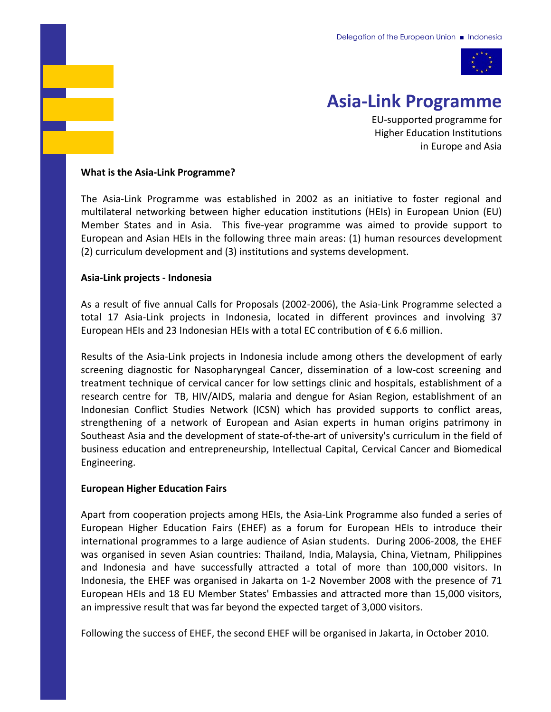

# **Asia‐Link Programme**

EU‐supported programme for Higher Education Institutions in Europe and Asia

#### **What is the Asia‐Link Programme?**

The Asia‐Link Programme was established in 2002 as an initiative to foster regional and multilateral networking between higher education institutions (HEIs) in European Union (EU) Member States and in Asia. This five-year programme was aimed to provide support to European and Asian HEIs in the following three main areas: (1) human resources development (2) curriculum development and (3) institutions and systems development.

#### **Asia‐Link projects ‐ Indonesia**

As a result of five annual Calls for Proposals (2002‐2006), the Asia‐Link Programme selected a total 17 Asia‐Link projects in Indonesia, located in different provinces and involving 37 European HEIs and 23 Indonesian HEIs with a total EC contribution of  $\epsilon$  6.6 million.

Results of the Asia‐Link projects in Indonesia include among others the development of early screening diagnostic for Nasopharyngeal Cancer, dissemination of a low‐cost screening and treatment technique of cervical cancer for low settings clinic and hospitals, establishment of a research centre for TB, HIV/AIDS, malaria and dengue for Asian Region, establishment of an Indonesian Conflict Studies Network (ICSN) which has provided supports to conflict areas, strengthening of a network of European and Asian experts in human origins patrimony in Southeast Asia and the development of state‐of‐the‐art of university's curriculum in the field of business education and entrepreneurship, Intellectual Capital, Cervical Cancer and Biomedical Engineering.

### **European Higher Education Fairs**

Apart from cooperation projects among HEIs, the Asia‐Link Programme also funded a series of European Higher Education Fairs (EHEF) as a forum for European HEIs to introduce their international programmes to a large audience of Asian students. During 2006‐2008, the EHEF was organised in seven Asian countries: Thailand, India, Malaysia, China, Vietnam, Philippines and Indonesia and have successfully attracted a total of more than 100,000 visitors. In Indonesia, the EHEF was organised in Jakarta on 1‐2 November 2008 with the presence of 71 European HEIs and 18 EU Member States' Embassies and attracted more than 15,000 visitors, an impressive result that was far beyond the expected target of 3,000 visitors.

Following the success of EHEF, the second EHEF will be organised in Jakarta, in October 2010.